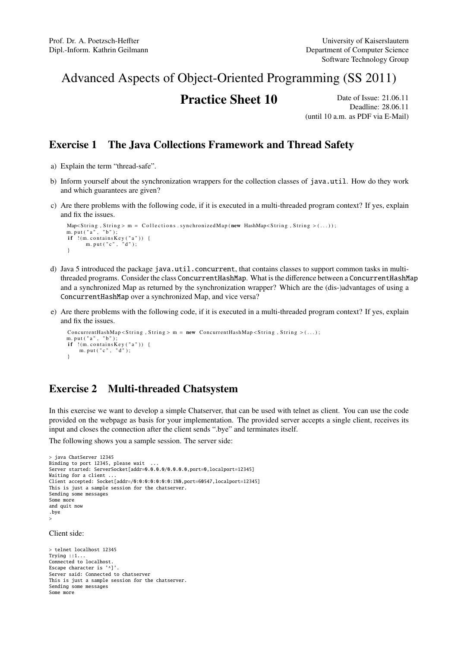## Advanced Aspects of Object-Oriented Programming (SS 2011)

# **Practice Sheet 10** Date of Issue: 21.06.11

Deadline: 28.06.11 (until 10 a.m. as PDF via E-Mail)

#### Exercise 1 The Java Collections Framework and Thread Safety

- a) Explain the term "thread-safe".
- b) Inform yourself about the synchronization wrappers for the collection classes of java.util. How do they work and which guarantees are given?
- c) Are there problems with the following code, if it is executed in a multi-threaded program context? If yes, explain and fix the issues.

```
Map\le String, String > m = Collections. synchronizedMap(\new HashMap\le String, String > (...);
m. put ("a", "b");
 if !(m. contains Key ("a")) {<br>m. put ("c", "d");
}
```
- d) Java 5 introduced the package java.util.concurrent, that contains classes to support common tasks in multithreaded programs. Consider the class ConcurrentHashMap. What is the difference between a ConcurrentHashMap and a synchronized Map as returned by the synchronization wrapper? Which are the (dis-)advantages of using a ConcurrentHashMap over a synchronized Map, and vice versa?
- e) Are there problems with the following code, if it is executed in a multi-threaded program context? If yes, explain and fix the issues.

```
ConcurrentHashMap < String, String > m = new ConcurrentHashMap<String, String > (...);
m. put ( " a " , " b " ) ;
if !(m.\text{containsKey } ("a")) {
    m. put ("c", "d");
}
```
### Exercise 2 Multi-threaded Chatsystem

In this exercise we want to develop a simple Chatserver, that can be used with telnet as client. You can use the code provided on the webpage as basis for your implementation. The provided server accepts a single client, receives its input and closes the connection after the client sends ".bye" and terminates itself.

The following shows you a sample session. The server side:

```
> java ChatServer 12345
Binding to port 12345, please wait ...
Server started: ServerSocket[addr=0.0.0.0/0.0.0.0,port=0,localport=12345]
Waiting for a client ..
Client accepted: Socket[addr=/0:0:0:0:0:0:0:1%0,port=60547,localport=12345]
This is just a sample session for the chatserver.
Sending some messages
Some more
and quit now
.bye
.<br>>
```
Client side:

```
> telnet localhost 12345
Trying ::1...
Connected to localhost.
Escape character is '^]'.
Server said: Connected to chatserver
This is just a sample session for the chatserver.
Sending some messages
Some more
```